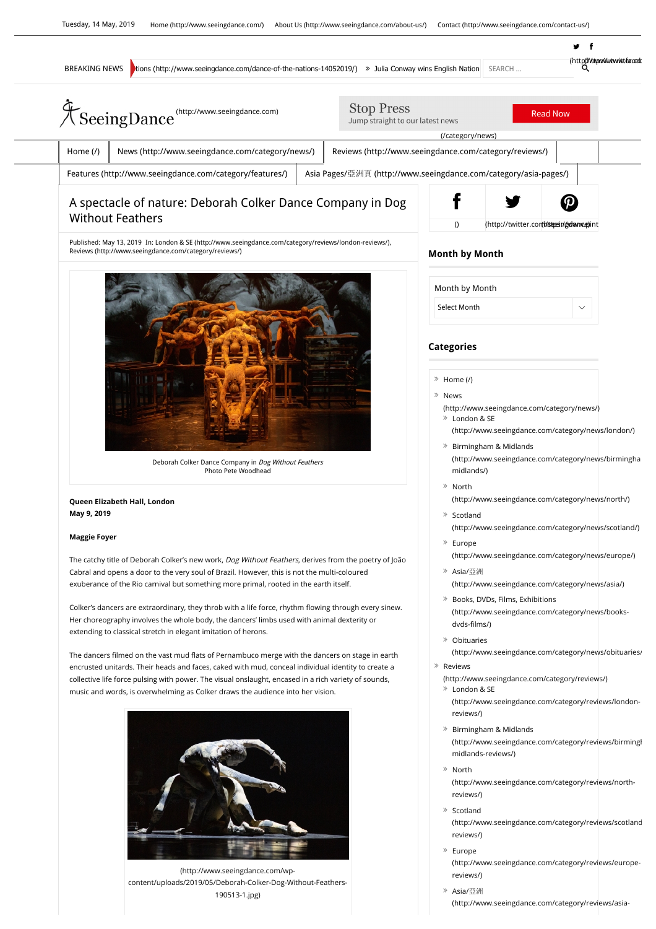

(http://www.seeingdance.com/wpcontent/uploads/2019/05/Deborah-Colker-Dog-Without-Feathers-190513-1.jpg)

## (http://www.seeingdance.com/category/reviews/europereviews/)

Asia/亞洲

www.seeingdance.com/category/reviews/asia-dog-without-feathers-dog-without-feathers-dog-without-feathers-dog-without-feathers-dog-without-feathers-dog-without-feathers-dog-without-feathers-dog-without-feathers-dog-without-